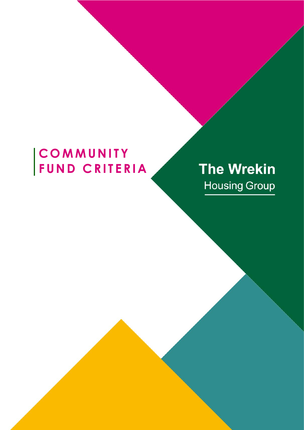# COMMUNITY<br>FUND CRITERIA

# **The Wrekin Housing Group**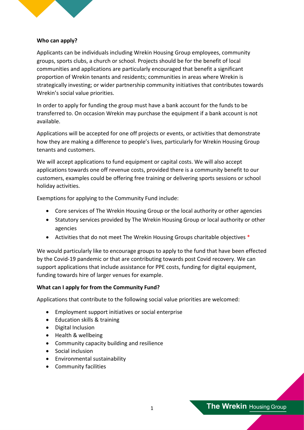

# **Who can apply?**

Applicants can be individuals including Wrekin Housing Group employees, community groups, sports clubs, a church or school. Projects should be for the benefit of local communities and applications are particularly encouraged that benefit a significant proportion of Wrekin tenants and residents; communities in areas where Wrekin is strategically investing; or wider partnership community initiatives that contributes towards Wrekin's social value priorities.

In order to apply for funding the group must have a bank account for the funds to be transferred to. On occasion Wrekin may purchase the equipment if a bank account is not available.

Applications will be accepted for one off projects or events, or activities that demonstrate how they are making a difference to people's lives, particularly for Wrekin Housing Group tenants and customers.

We will accept applications to fund equipment or capital costs. We will also accept applications towards one off revenue costs, provided there is a community benefit to our customers, examples could be offering free training or delivering sports sessions or school holiday activities.

Exemptions for applying to the Community Fund include:

- Core services of The Wrekin Housing Group or the local authority or other agencies
- Statutory services provided by The Wrekin Housing Group or local authority or other agencies
- Activities that do not meet The Wrekin Housing Groups charitable objectives \*

We would particularly like to encourage groups to apply to the fund that have been effected by the Covid-19 pandemic or that are contributing towards post Covid recovery. We can support applications that include assistance for PPE costs, funding for digital equipment, funding towards hire of larger venues for example.

#### **What can I apply for from the Community Fund?**

Applications that contribute to the following social value priorities are welcomed:

- Employment support initiatives or social enterprise
- Education skills & training
- Digital Inclusion
- Health & wellbeing
- Community capacity building and resilience
- Social inclusion
- Environmental sustainability
- Community facilities

The Wrekin Housing Group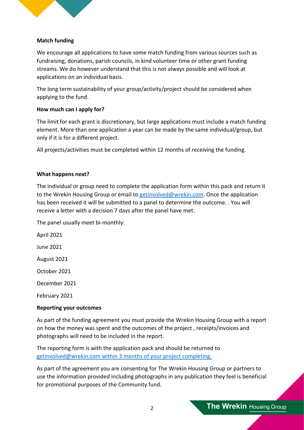

# **Match funding**

We encourage all applications to have some match funding from various sources such as fundraising, donations, parish councils, in kind volunteer time or other grant funding streams. We do however understand that this is not always possible and will look at applications on an individual basis.

The long term sustainability of your group/activity/project should be considered when applying to the fund.

### **How much can I apply for?**

The limit for each grant is discretionary, but large applications must include a match funding element. More than one application a year can be made by the same individual/group, but only if it is for a different project.

All projects/activities must be completed within 12 months of receiving the funding.

#### **What happens next?**

The individual or group need to complete the application form within this pack and return it to the Wrekin Housing Group or email to [getinvolved@wrekin.com.](mailto:getinvolved@wrekin.com) Once the application has been received it will be submitted to a panel to determine the outcome. . You will receive a letter with a decision 7 days after the panel have met.

The panel usually meet bi-monthly:

April 2021 June 2021 August 2021 October 2021 December 2021 February 2021

#### **Reporting your outcomes**

As part of the funding agreement you must provide the Wrekin Housing Group with a report on how the money was spent and the outcomes of the project , receipts/invoices and photographs will need to be included in the report.

The reporting form is with the application pack and should be returned to [getinvolved@wrekin.com](mailto:getinvolved@wrekin.com) within 3 months of your project completing.

As part of the agreement you are consenting for The Wrekin Housing Group or partners to use the information provided including photographs in any publication they feel is beneficial for promotional purposes of the Community fund.